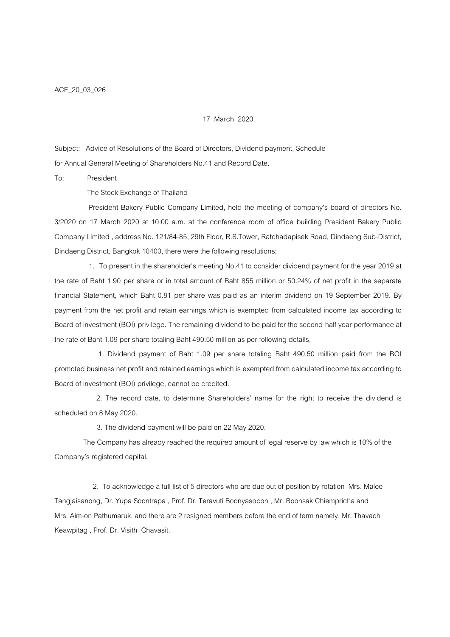## 17 March 2020

Subject: Advice of Resolutions of the Board of Directors, Dividend payment, Schedule for Annual General Meeting of Shareholders No.41 and Record Date.

To: President

The Stock Exchange of Thailand

 President Bakery Public Company Limited, held the meeting of company's board of directors No. 3/2020 on 17 March 2020 at 10.00 a.m. at the conference room of office building President Bakery Public Company Limited , address No. 121/84-85, 29th Floor, R.S.Tower, Ratchadapisek Road, Dindaeng Sub-District, Dindaeng District, Bangkok 10400, there were the following resolutions;

 1. To present in the shareholder's meeting No.41 to consider dividend payment for the year 2019 at the rate of Baht 1.90 per share or in total amount of Baht 855 million or 50.24% of net profit in the separate financial Statement, which Baht 0.81 per share was paid as an interim dividend on 19 September 2019. By payment from the net profit and retain earnings which is exempted from calculated income tax according to Board of investment (BOI) privilege. The remaining dividend to be paid for the second-half year performance at the rate of Baht 1.09 per share totaling Baht 490.50 million as per following details,

 1. Dividend payment of Baht 1.09 per share totaling Baht 490.50 million paid from the BOI promoted business net profit and retained earnings which is exempted from calculated income tax according to Board of investment (BOI) privilege, cannot be credited.

 2. The record date, to determine Shareholders? name for the right to receive the dividend is scheduled on 8 May 2020.

3. The dividend payment will be paid on 22 May 2020.

 The Company has already reached the required amount of legal reserve by law which is 10% of the Company?s registered capital.

 2. To acknowledge a full list of 5 directors who are due out of position by rotation Mrs. Malee Tangjaisanong, Dr. Yupa Soontrapa , Prof. Dr. Teravuti Boonyasopon , Mr. Boonsak Chiempricha and Mrs. Aim-on Pathumaruk. and there are 2 resigned members before the end of term namely, Mr. Thavach Keawpitag , Prof. Dr. Visith Chavasit.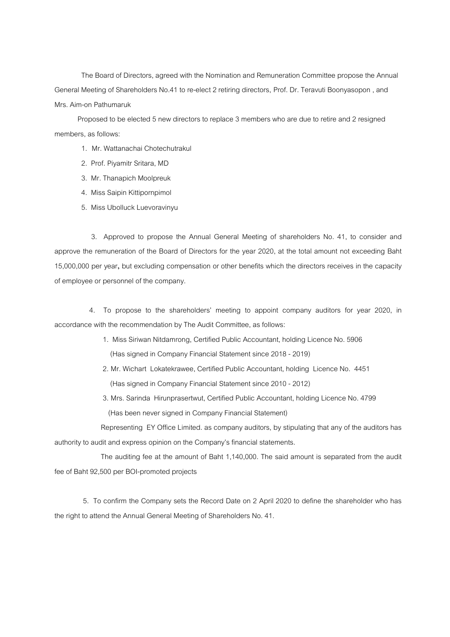The Board of Directors, agreed with the Nomination and Remuneration Committee propose the Annual General Meeting of Shareholders No.41 to re-elect 2 retiring directors, Prof. Dr. Teravuti Boonyasopon , and Mrs. Aim-on Pathumaruk

 Proposed to be elected 5 new directors to replace 3 members who are due to retire and 2 resigned members, as follows:

- 1. Mr. Wattanachai Chotechutrakul
- 2. Prof. Piyamitr Sritara, MD
- 3. Mr. Thanapich Moolpreuk
- 4. Miss Saipin Kittipornpimol
- 5. Miss Ubolluck Luevoravinyu

 3. Approved to propose the Annual General Meeting of shareholders No. 41, to consider and approve the remuneration of the Board of Directors for the year 2020, at the total amount not exceeding Baht 15,000,000 per year, but excluding compensation or other benefits which the directors receives in the capacity of employee or personnel of the company.

 4. To propose to the shareholders? meeting to appoint company auditors for year 2020, in accordance with the recommendation by The Audit Committee, as follows:

- 1. Miss Siriwan Nitdamrong, Certified Public Accountant, holding Licence No. 5906 (Has signed in Company Financial Statement since 2018 - 2019)
- 2. Mr. Wichart Lokatekrawee, Certified Public Accountant, holding Licence No. 4451 (Has signed in Company Financial Statement since 2010 - 2012)
- 3. Mrs. Sarinda Hirunprasertwut, Certified Public Accountant, holding Licence No. 4799 (Has been never signed in Company Financial Statement)

 Representing EY Office Limited. as company auditors, by stipulating that any of the auditors has authority to audit and express opinion on the Company?s financial statements.

 The auditing fee at the amount of Baht 1,140,000. The said amount is separated from the audit fee of Baht 92,500 per BOI-promoted projects

 5. To confirm the Company sets the Record Date on 2 April 2020 to define the shareholder who has the right to attend the Annual General Meeting of Shareholders No. 41.